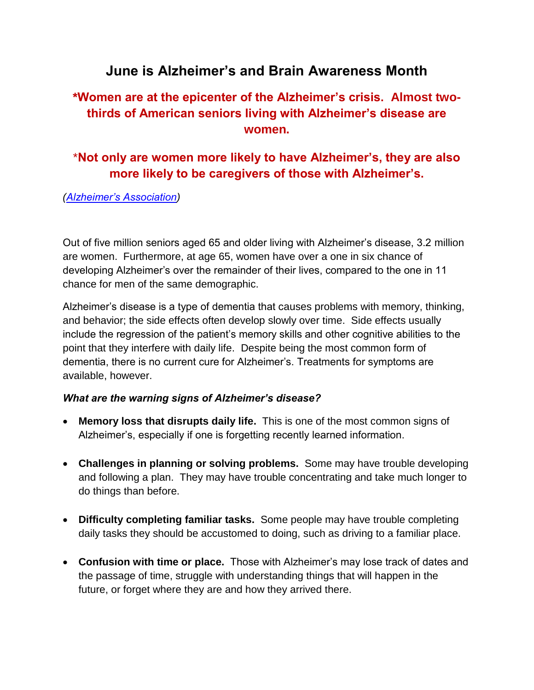# **June is Alzheimer's and Brain Awareness Month**

## **\*Women are at the epicenter of the Alzheimer's crisis. Almost twothirds of American seniors living with Alzheimer's disease are women.**

### \***Not only are women more likely to have Alzheimer's, they are also more likely to be caregivers of those with Alzheimer's.**

#### *[\(Alzheimer's Association\)](http://www.alz.org/documents_custom/2014_facts_figures_fact_sheet_women.pdf)*

Out of five million seniors aged 65 and older living with Alzheimer's disease, 3.2 million are women. Furthermore, at age 65, women have over a one in six chance of developing Alzheimer's over the remainder of their lives, compared to the one in 11 chance for men of the same demographic.

Alzheimer's disease is a type of dementia that causes problems with memory, thinking, and behavior; the side effects often develop slowly over time. Side effects usually include the regression of the patient's memory skills and other cognitive abilities to the point that they interfere with daily life. Despite being the most common form of dementia, there is no current cure for Alzheimer's. Treatments for symptoms are available, however.

#### *What are the warning signs of Alzheimer's disease?*

- **Memory loss that disrupts daily life.** This is one of the most common signs of Alzheimer's, especially if one is forgetting recently learned information.
- **Challenges in planning or solving problems.** Some may have trouble developing and following a plan. They may have trouble concentrating and take much longer to do things than before.
- **Difficulty completing familiar tasks.** Some people may have trouble completing daily tasks they should be accustomed to doing, such as driving to a familiar place.
- **Confusion with time or place.** Those with Alzheimer's may lose track of dates and the passage of time, struggle with understanding things that will happen in the future, or forget where they are and how they arrived there.